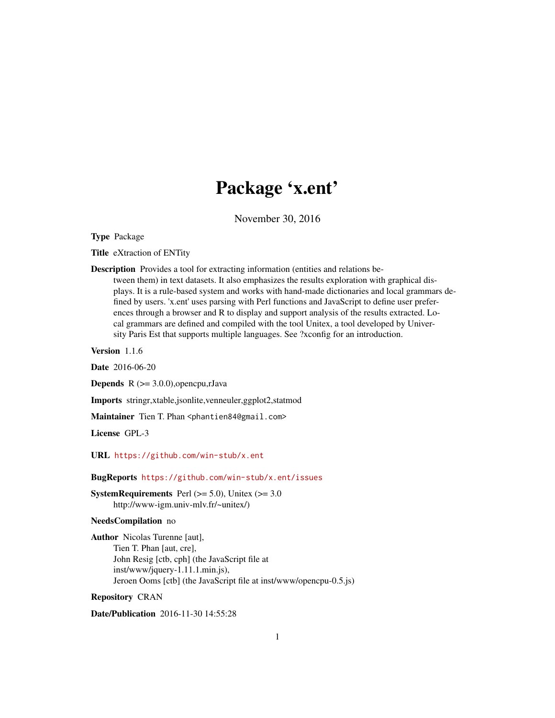# Package 'x.ent'

November 30, 2016

<span id="page-0-0"></span>Type Package

Title eXtraction of ENTity

Description Provides a tool for extracting information (entities and relations be-

tween them) in text datasets. It also emphasizes the results exploration with graphical displays. It is a rule-based system and works with hand-made dictionaries and local grammars defined by users. 'x.ent' uses parsing with Perl functions and JavaScript to define user preferences through a browser and R to display and support analysis of the results extracted. Local grammars are defined and compiled with the tool Unitex, a tool developed by University Paris Est that supports multiple languages. See ?xconfig for an introduction.

Version 1.1.6

Date 2016-06-20

**Depends**  $R$  ( $>= 3.0.0$ ), opencpu, rJava

Imports stringr,xtable,jsonlite,venneuler,ggplot2,statmod

Maintainer Tien T. Phan <phantien84@gmail.com>

License GPL-3

URL <https://github.com/win-stub/x.ent>

#### BugReports <https://github.com/win-stub/x.ent/issues>

**SystemRequirements** Perl  $(>= 5.0)$ , Unitex  $(>= 3.0)$ http://www-igm.univ-mlv.fr/~unitex/)

#### NeedsCompilation no

Author Nicolas Turenne [aut], Tien T. Phan [aut, cre], John Resig [ctb, cph] (the JavaScript file at inst/www/jquery-1.11.1.min.js), Jeroen Ooms [ctb] (the JavaScript file at inst/www/opencpu-0.5.js)

#### Repository CRAN

Date/Publication 2016-11-30 14:55:28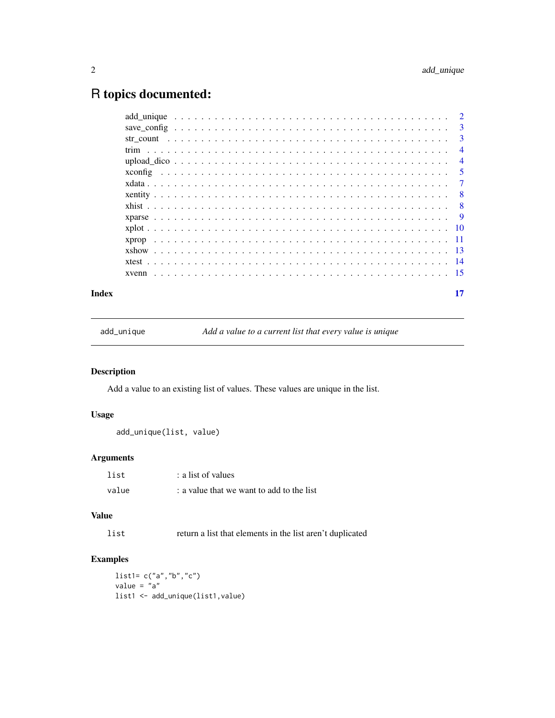## <span id="page-1-0"></span>R topics documented:

|  |  |  | $\overline{\mathbf{3}}$ |
|--|--|--|-------------------------|
|  |  |  | -3                      |
|  |  |  | $\overline{4}$          |
|  |  |  | $\overline{4}$          |
|  |  |  | $\overline{5}$          |
|  |  |  | $\overline{7}$          |
|  |  |  |                         |
|  |  |  |                         |
|  |  |  |                         |
|  |  |  |                         |
|  |  |  |                         |
|  |  |  |                         |
|  |  |  |                         |
|  |  |  |                         |
|  |  |  |                         |

#### **Index** [17](#page-16-0)

add\_unique *Add a value to a current list that every value is unique*

#### Description

Add a value to an existing list of values. These values are unique in the list.

#### Usage

add\_unique(list, value)

#### Arguments

| list  | : a list of values                        |
|-------|-------------------------------------------|
| value | : a value that we want to add to the list |

#### Value

list return a list that elements in the list aren't duplicated

#### Examples

list1= c("a","b","c") value =  $"a"$ list1 <- add\_unique(list1,value)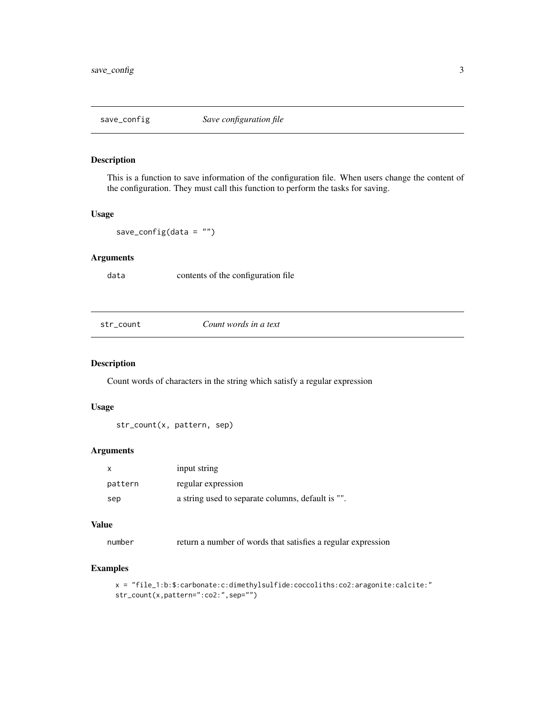<span id="page-2-0"></span>

This is a function to save information of the configuration file. When users change the content of the configuration. They must call this function to perform the tasks for saving.

#### Usage

save\_config(data =  $"$ )

#### Arguments

data contents of the configuration file

str\_count *Count words in a text*

#### Description

Count words of characters in the string which satisfy a regular expression

#### Usage

str\_count(x, pattern, sep)

#### Arguments

|         | input string                                      |
|---------|---------------------------------------------------|
| pattern | regular expression                                |
| sep     | a string used to separate columns, default is "". |

#### Value

number return a number of words that satisfies a regular expression

```
x = "file_1:b:$:carbonate:c:dimethylsulfide:coccoliths:co2:aragonite:calcite:"
str_count(x,pattern=":co2:",sep="")
```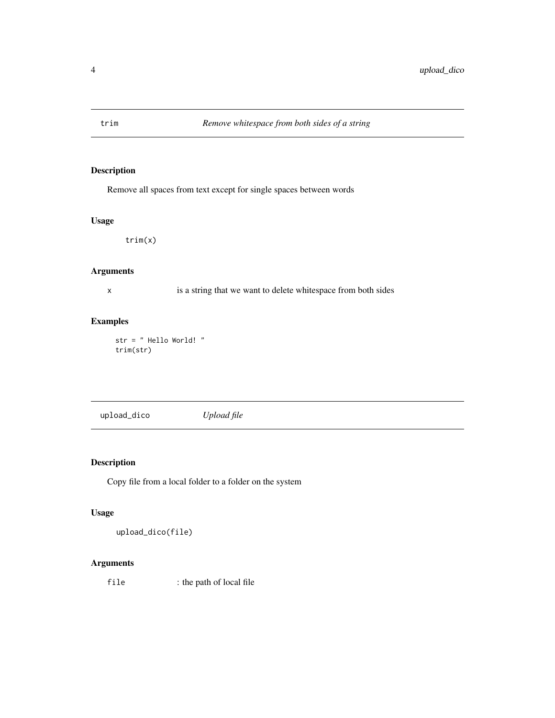<span id="page-3-0"></span>

Remove all spaces from text except for single spaces between words

#### Usage

trim(x)

#### Arguments

x is a string that we want to delete whitespace from both sides

#### Examples

str = " Hello World! " trim(str)

upload\_dico *Upload file*

#### Description

Copy file from a local folder to a folder on the system

#### Usage

upload\_dico(file)

#### Arguments

file : the path of local file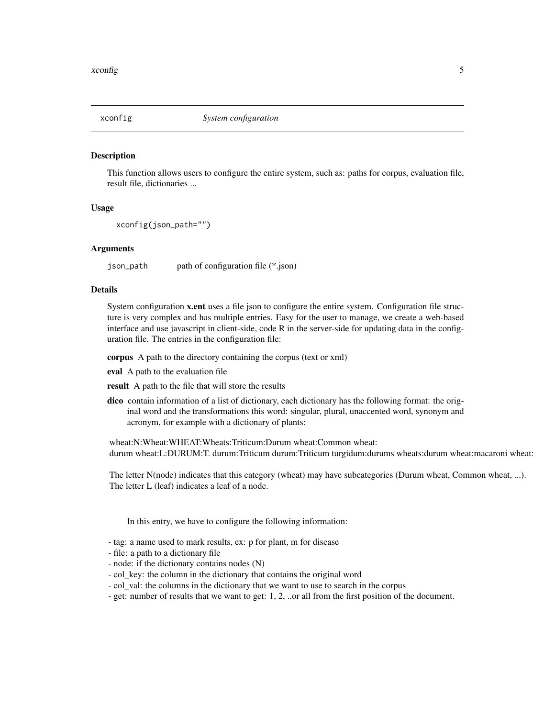<span id="page-4-1"></span><span id="page-4-0"></span>

This function allows users to configure the entire system, such as: paths for corpus, evaluation file, result file, dictionaries ...

#### Usage

```
xconfig(json_path="")
```
#### Arguments

json\_path path of configuration file (\*.json)

#### Details

System configuration x.ent uses a file json to configure the entire system. Configuration file structure is very complex and has multiple entries. Easy for the user to manage, we create a web-based interface and use javascript in client-side, code R in the server-side for updating data in the configuration file. The entries in the configuration file:

corpus A path to the directory containing the corpus (text or xml)

eval A path to the evaluation file

result A path to the file that will store the results

dico contain information of a list of dictionary, each dictionary has the following format: the original word and the transformations this word: singular, plural, unaccented word, synonym and acronym, for example with a dictionary of plants:

wheat:N:Wheat:WHEAT:Wheats:Triticum:Durum wheat:Common wheat: durum wheat:L:DURUM:T. durum:Triticum durum:Triticum turgidum:durums wheats:durum wheat:macaroni wheat:

The letter N(node) indicates that this category (wheat) may have subcategories (Durum wheat, Common wheat, ...). The letter L (leaf) indicates a leaf of a node.

In this entry, we have to configure the following information:

- tag: a name used to mark results, ex: p for plant, m for disease
- file: a path to a dictionary file
- node: if the dictionary contains nodes (N)
- col\_key: the column in the dictionary that contains the original word
- col\_val: the columns in the dictionary that we want to use to search in the corpus
- get: number of results that we want to get: 1, 2, ..or all from the first position of the document.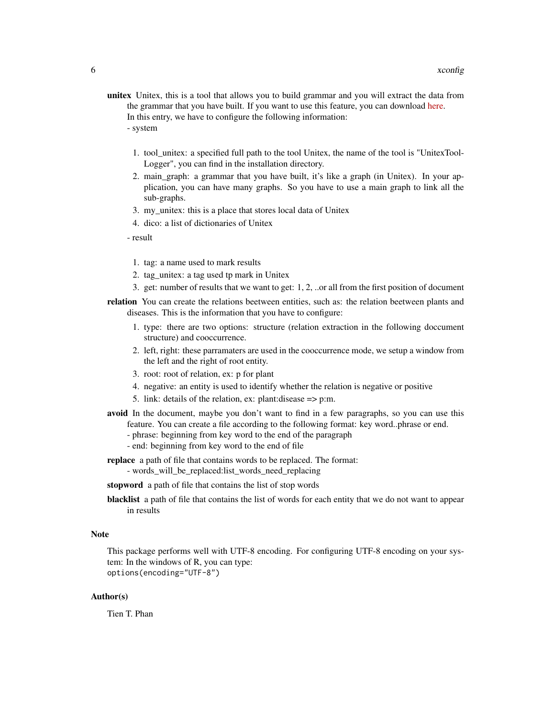- unitex Unitex, this is a tool that allows you to build grammar and you will extract the data from the grammar that you have built. If you want to use this feature, you can download [here.](http://www-igm.univ-mlv.fr/~unitex/index.php?page=3&html=download2.html) In this entry, we have to configure the following information:
	- system
		- 1. tool\_unitex: a specified full path to the tool Unitex, the name of the tool is "UnitexTool-Logger", you can find in the installation directory.
	- 2. main\_graph: a grammar that you have built, it's like a graph (in Unitex). In your application, you can have many graphs. So you have to use a main graph to link all the sub-graphs.
	- 3. my\_unitex: this is a place that stores local data of Unitex
	- 4. dico: a list of dictionaries of Unitex

- result

- 1. tag: a name used to mark results
- 2. tag\_unitex: a tag used tp mark in Unitex
- 3. get: number of results that we want to get: 1, 2, ..or all from the first position of document
- relation You can create the relations beetween entities, such as: the relation beetween plants and diseases. This is the information that you have to configure:
	- 1. type: there are two options: structure (relation extraction in the following doccument structure) and cooccurrence.
	- 2. left, right: these parramaters are used in the cooccurrence mode, we setup a window from the left and the right of root entity.
	- 3. root: root of relation, ex: p for plant
	- 4. negative: an entity is used to identify whether the relation is negative or positive
	- 5. link: details of the relation, ex: plant:disease => p:m.
- avoid In the document, maybe you don't want to find in a few paragraphs, so you can use this feature. You can create a file according to the following format: key word..phrase or end.
	- phrase: beginning from key word to the end of the paragraph
	- end: beginning from key word to the end of file
- replace a path of file that contains words to be replaced. The format:
	- words\_will\_be\_replaced:list\_words\_need\_replacing
- stopword a path of file that contains the list of stop words
- blacklist a path of file that contains the list of words for each entity that we do not want to appear in results

#### **Note**

This package performs well with UTF-8 encoding. For configuring UTF-8 encoding on your system: In the windows of R, you can type: options(encoding="UTF-8")

#### Author(s)

Tien T. Phan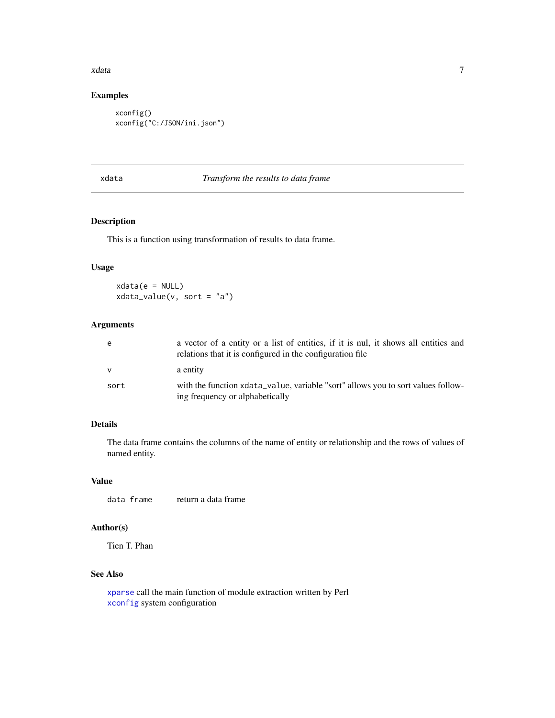#### <span id="page-6-0"></span>xdata  $\sim$  7

#### Examples

```
xconfig()
xconfig("C:/JSON/ini.json")
```
#### xdata *Transform the results to data frame*

#### Description

This is a function using transformation of results to data frame.

#### Usage

 $xdata(e = NULL)$ xdata\_value(v, sort = "a")

#### Arguments

| e    | a vector of a entity or a list of entities, if it is nul, it shows all entities and<br>relations that it is configured in the configuration file |
|------|--------------------------------------------------------------------------------------------------------------------------------------------------|
| v    | a entity                                                                                                                                         |
| sort | with the function xdata_value, variable "sort" allows you to sort values follow-<br>ing frequency or alphabetically                              |

#### Details

The data frame contains the columns of the name of entity or relationship and the rows of values of named entity.

#### Value

```
data frame return a data frame
```
#### Author(s)

Tien T. Phan

#### See Also

[xparse](#page-8-1) call the main function of module extraction written by Perl [xconfig](#page-4-1) system configuration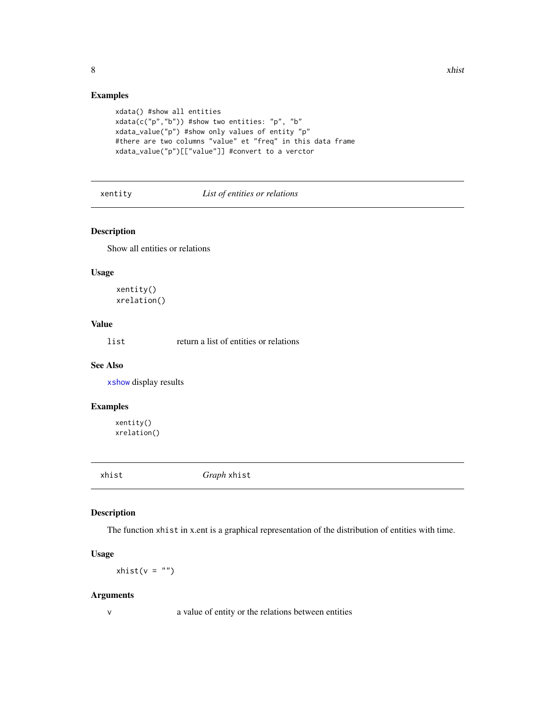#### Examples

```
xdata() #show all entities
xdata(c("p","b")) #show two entities: "p", "b"
xdata_value("p") #show only values of entity "p"
#there are two columns "value" et "freq" in this data frame
xdata_value("p")[["value"]] #convert to a verctor
```
#### xentity *List of entities or relations*

#### Description

Show all entities or relations

#### Usage

xentity() xrelation()

#### Value

list return a list of entities or relations

#### See Also

[xshow](#page-12-1) display results

#### Examples

xentity() xrelation()

<span id="page-7-1"></span>xhist *Graph* xhist

#### Description

The function xhist in x.ent is a graphical representation of the distribution of entities with time.

#### Usage

 $xhist(v = "")$ 

#### Arguments

v a value of entity or the relations between entities

<span id="page-7-0"></span>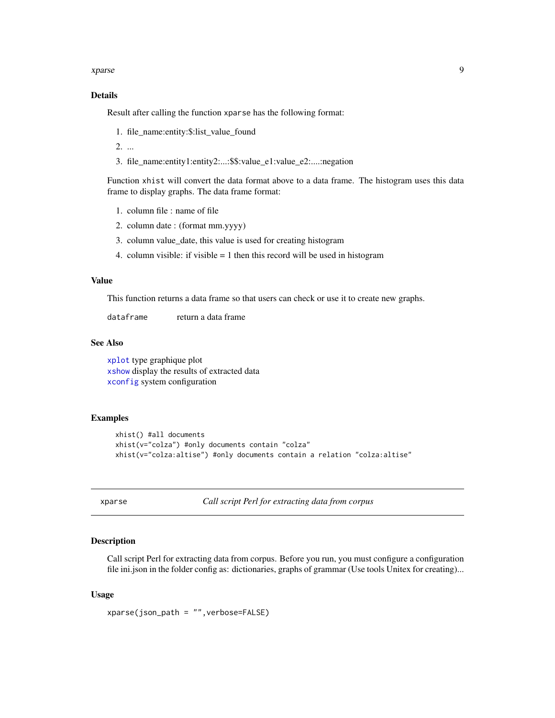<span id="page-8-0"></span>xparse 9

#### Details

Result after calling the function xparse has the following format:

1. file\_name:entity:\$:list\_value\_found

2. ...

3. file\_name:entity1:entity2:...:\$\$:value\_e1:value\_e2:....:negation

Function xhist will convert the data format above to a data frame. The histogram uses this data frame to display graphs. The data frame format:

- 1. column file : name of file
- 2. column date : (format mm.yyyy)
- 3. column value\_date, this value is used for creating histogram
- 4. column visible: if visible  $= 1$  then this record will be used in histogram

#### Value

This function returns a data frame so that users can check or use it to create new graphs.

dataframe return a data frame

#### See Also

[xplot](#page-9-1) type graphique plot [xshow](#page-12-1) display the results of extracted data [xconfig](#page-4-1) system configuration

#### Examples

```
xhist() #all documents
xhist(v="colza") #only documents contain "colza"
xhist(v="colza:altise") #only documents contain a relation "colza:altise"
```
<span id="page-8-1"></span>xparse *Call script Perl for extracting data from corpus*

#### **Description**

Call script Perl for extracting data from corpus. Before you run, you must configure a configuration file ini.json in the folder config as: dictionaries, graphs of grammar (Use tools Unitex for creating)...

#### Usage

xparse(json\_path = "",verbose=FALSE)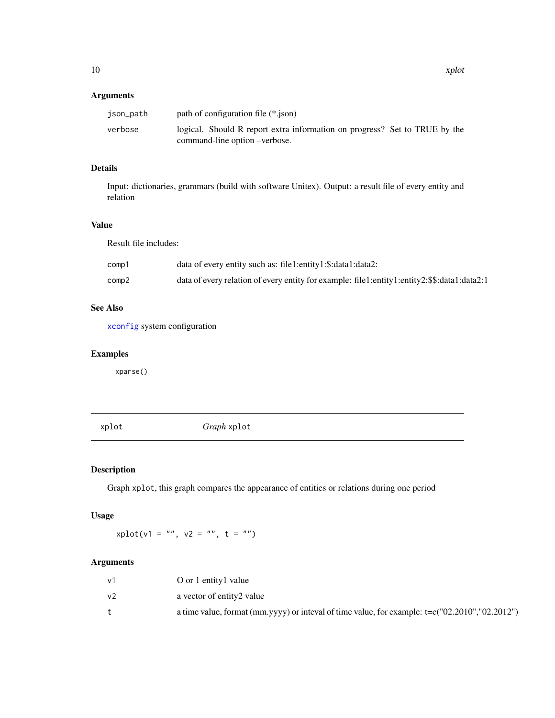#### <span id="page-9-0"></span>Arguments

| json_path | path of configuration file (*.json)                                                                         |
|-----------|-------------------------------------------------------------------------------------------------------------|
| verbose   | logical. Should R report extra information on progress? Set to TRUE by the<br>command-line option –verbose. |

#### Details

Input: dictionaries, grammars (build with software Unitex). Output: a result file of every entity and relation

#### Value

Result file includes:

| comp1 | data of every entity such as: file1:entity1:\$:data1:data2:                                  |
|-------|----------------------------------------------------------------------------------------------|
| comp2 | data of every relation of every entity for example: file1:entity1:entity2:\$\$:data1:data2:1 |

#### See Also

[xconfig](#page-4-1) system configuration

#### Examples

xparse()

<span id="page-9-1"></span>xplot *Graph* xplot

#### Description

Graph xplot, this graph compares the appearance of entities or relations during one period

#### Usage

 $xplot(v1 = "", v2 = "", t = "")$ 

#### Arguments

| v1             | O or 1 entity1 value                                                                                |
|----------------|-----------------------------------------------------------------------------------------------------|
| v <sub>2</sub> | a vector of entity2 value                                                                           |
|                | a time value, format (mm.yyyy) or inteval of time value, for example: $t = c("02.2010", "02.2012")$ |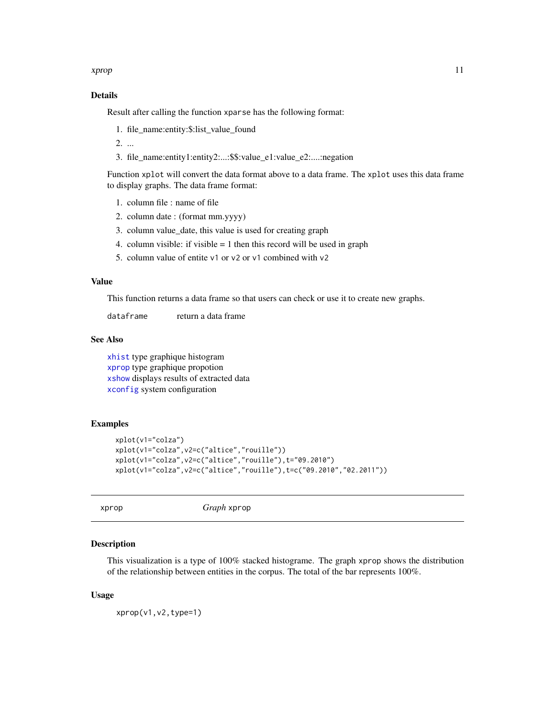#### <span id="page-10-0"></span>xprop that the state of the state of the state of the state of the state of the state of the state of the state of the state of the state of the state of the state of the state of the state of the state of the state of the

#### Details

Result after calling the function xparse has the following format:

- 1. file\_name:entity:\$:list\_value\_found
- 2. ...
- 3. file\_name:entity1:entity2:...:\$\$:value\_e1:value\_e2:....:negation

Function xplot will convert the data format above to a data frame. The xplot uses this data frame to display graphs. The data frame format:

- 1. column file : name of file
- 2. column date : (format mm.yyyy)
- 3. column value\_date, this value is used for creating graph
- 4. column visible: if visible  $= 1$  then this record will be used in graph
- 5. column value of entite v1 or v2 or v1 combined with v2

#### Value

This function returns a data frame so that users can check or use it to create new graphs.

dataframe return a data frame

#### See Also

[xhist](#page-7-1) type graphique histogram [xprop](#page-10-1) type graphique propotion [xshow](#page-12-1) displays results of extracted data [xconfig](#page-4-1) system configuration

#### Examples

```
xplot(v1="colza")
xplot(v1="colza",v2=c("altice","rouille"))
xplot(v1="colza",v2=c("altice","rouille"),t="09.2010")
xplot(v1="colza",v2=c("altice","rouille"),t=c("09.2010","02.2011"))
```

```
xprop Graph xprop
```
#### Description

This visualization is a type of 100% stacked histograme. The graph xprop shows the distribution of the relationship between entities in the corpus. The total of the bar represents 100%.

#### Usage

```
xprop(v1,v2,type=1)
```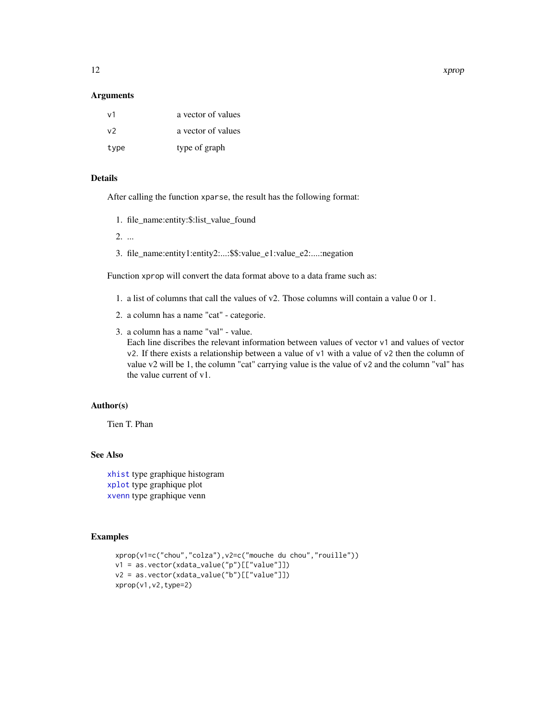#### <span id="page-11-0"></span>Arguments

| $\vee$ 1 | a vector of values |
|----------|--------------------|
| v2       | a vector of values |
| type     | type of graph      |

#### Details

After calling the function xparse, the result has the following format:

- 1. file\_name:entity:\$:list\_value\_found
- 2. ...
- 3. file\_name:entity1:entity2:...:\$\$:value\_e1:value\_e2:....:negation

Function xprop will convert the data format above to a data frame such as:

- 1. a list of columns that call the values of v2. Those columns will contain a value 0 or 1.
- 2. a column has a name "cat" categorie.
- 3. a column has a name "val" value.

Each line discribes the relevant information between values of vector v1 and values of vector v2. If there exists a relationship between a value of v1 with a value of v2 then the column of value v2 will be 1, the column "cat" carrying value is the value of v2 and the column "val" has the value current of v1.

#### Author(s)

Tien T. Phan

#### See Also

[xhist](#page-7-1) type graphique histogram [xplot](#page-9-1) type graphique plot [xvenn](#page-14-1) type graphique venn

```
xprop(v1=c("chou","colza"),v2=c("mouche du chou","rouille"))
v1 = as.vector(xdata_value("p")[["value"]])
v2 = as.vector(xdata_value("b")[["value"]])
xprop(v1,v2,type=2)
```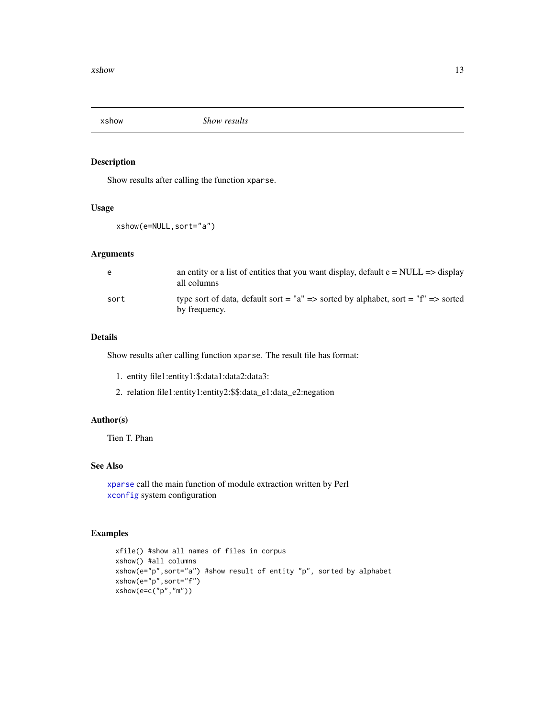<span id="page-12-1"></span><span id="page-12-0"></span>

Show results after calling the function xparse.

#### Usage

xshow(e=NULL,sort="a")

#### Arguments

| e    | an entity or a list of entities that you want display, default $e = NULL \implies display$<br>all columns |
|------|-----------------------------------------------------------------------------------------------------------|
| sort | type sort of data, default sort = "a" => sorted by alphabet, sort = "f" => sorted<br>by frequency.        |

#### Details

Show results after calling function xparse. The result file has format:

- 1. entity file1:entity1:\$:data1:data2:data3:
- 2. relation file1:entity1:entity2:\$\$:data\_e1:data\_e2:negation

#### Author(s)

Tien T. Phan

#### See Also

[xparse](#page-8-1) call the main function of module extraction written by Perl [xconfig](#page-4-1) system configuration

```
xfile() #show all names of files in corpus
xshow() #all columns
xshow(e="p",sort="a") #show result of entity "p", sorted by alphabet
xshow(e="p",sort="f")
xshow(e=c("p","m"))
```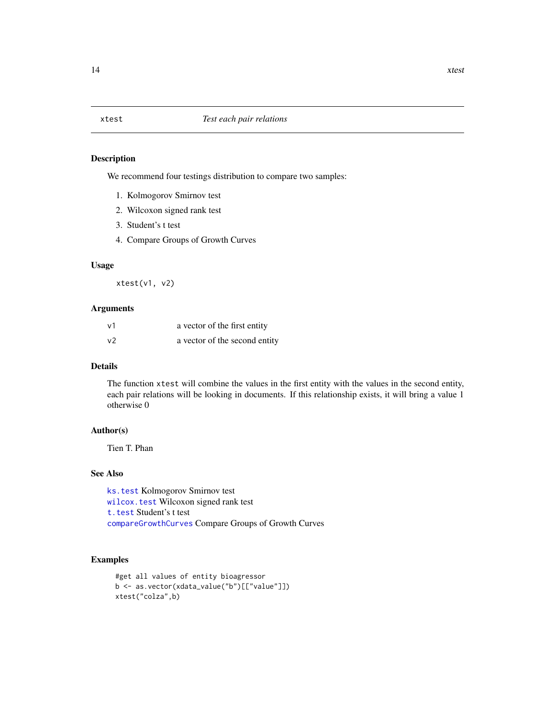<span id="page-13-0"></span>We recommend four testings distribution to compare two samples:

- 1. Kolmogorov Smirnov test
- 2. Wilcoxon signed rank test
- 3. Student's t test
- 4. Compare Groups of Growth Curves

#### Usage

xtest(v1, v2)

#### Arguments

| $\vee$ 1       | a vector of the first entity  |
|----------------|-------------------------------|
| v <sub>2</sub> | a vector of the second entity |

#### Details

The function xtest will combine the values in the first entity with the values in the second entity, each pair relations will be looking in documents. If this relationship exists, it will bring a value 1 otherwise 0

#### Author(s)

Tien T. Phan

#### See Also

[ks.test](#page-0-0) Kolmogorov Smirnov test [wilcox.test](#page-0-0) Wilcoxon signed rank test [t.test](#page-0-0) Student's t test [compareGrowthCurves](#page-0-0) Compare Groups of Growth Curves

```
#get all values of entity bioagressor
b <- as.vector(xdata_value("b")[["value"]])
xtest("colza",b)
```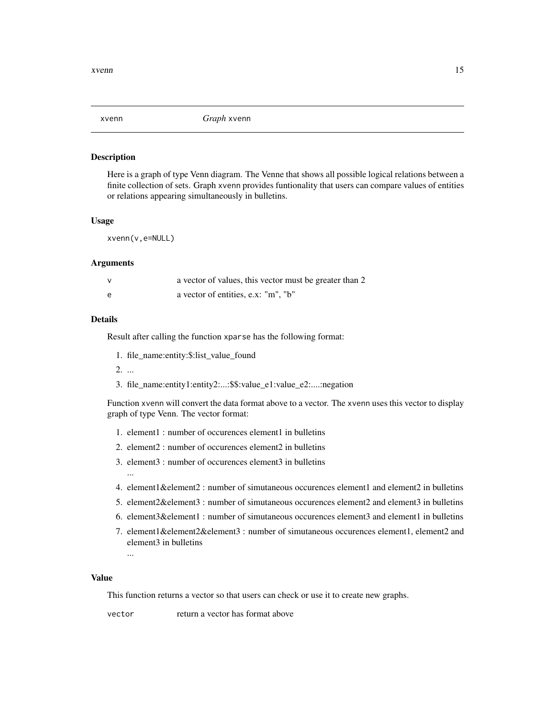<span id="page-14-1"></span><span id="page-14-0"></span>

Here is a graph of type Venn diagram. The Venne that shows all possible logical relations between a finite collection of sets. Graph xvenn provides funtionality that users can compare values of entities or relations appearing simultaneously in bulletins.

#### Usage

xvenn(v,e=NULL)

#### Arguments

|   | a vector of values, this vector must be greater than 2 |
|---|--------------------------------------------------------|
| e | a vector of entities, e.x: "m", "b"                    |

#### Details

Result after calling the function xparse has the following format:

1. file\_name:entity:\$:list\_value\_found

2. ...

3. file\_name:entity1:entity2:...:\$\$:value\_e1:value\_e2:....:negation

Function xvenn will convert the data format above to a vector. The xvenn uses this vector to display graph of type Venn. The vector format:

- 1. element1 : number of occurences element1 in bulletins
- 2. element2 : number of occurences element2 in bulletins
- 3. element3 : number of occurences element3 in bulletins
- 4. element1&element2 : number of simutaneous occurences element1 and element2 in bulletins
- 5. element2&element3 : number of simutaneous occurences element2 and element3 in bulletins
- 6. element3&element1 : number of simutaneous occurences element3 and element1 in bulletins
- 7. element1&element2&element3 : number of simutaneous occurences element1, element2 and element3 in bulletins

...

...

#### Value

This function returns a vector so that users can check or use it to create new graphs.

vector return a vector has format above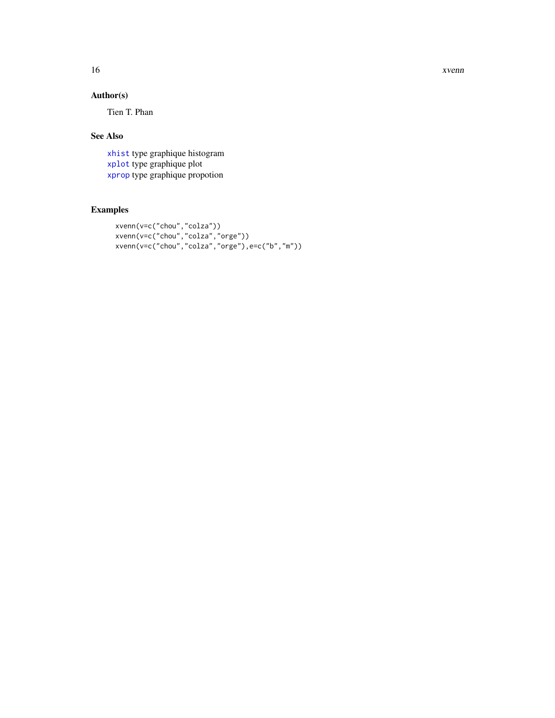<span id="page-15-0"></span>16 xvenn

#### Author(s)

Tien T. Phan

#### See Also

[xhist](#page-7-1) type graphique histogram [xplot](#page-9-1) type graphique plot [xprop](#page-10-1) type graphique propotion

```
xvenn(v=c("chou","colza"))
xvenn(v=c("chou","colza","orge"))
xvenn(v=c("chou","colza","orge"),e=c("b","m"))
```